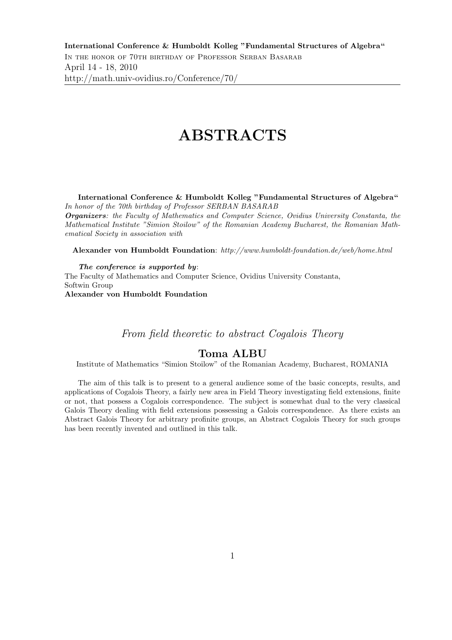# ABSTRACTS

International Conference & Humboldt Kolleg "Fundamental Structures of Algebra" In honor of the 70th birthday of Professor SERBAN BASARAB

Organizers: the Faculty of Mathematics and Computer Science, Ovidius University Constanta, the Mathematical Institute "Simion Stoilow" of the Romanian Academy Bucharest, the Romanian Mathematical Society in association with

Alexander von Humboldt Foundation: http://www.humboldt-foundation.de/web/home.html

The conference is supported by: The Faculty of Mathematics and Computer Science, Ovidius University Constanta, Softwin Group Alexander von Humboldt Foundation

From field theoretic to abstract Cogalois Theory

## Toma ALBU

Institute of Mathematics "Simion Stoilow" of the Romanian Academy, Bucharest, ROMANIA

The aim of this talk is to present to a general audience some of the basic concepts, results, and applications of Cogalois Theory, a fairly new area in Field Theory investigating field extensions, finite or not, that possess a Cogalois correspondence. The subject is somewhat dual to the very classical Galois Theory dealing with field extensions possessing a Galois correspondence. As there exists an Abstract Galois Theory for arbitrary profinite groups, an Abstract Cogalois Theory for such groups has been recently invented and outlined in this talk.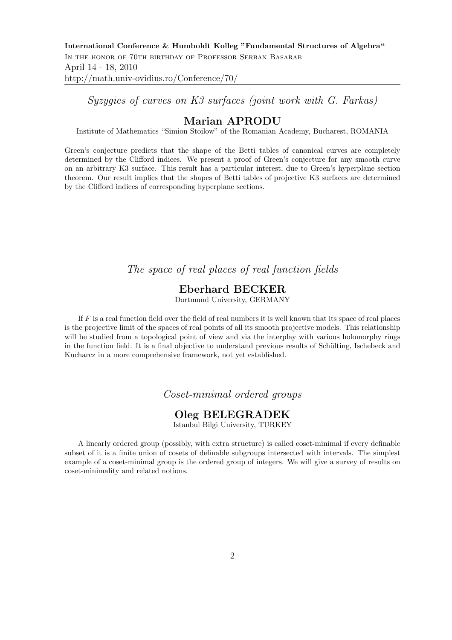Syzygies of curves on K3 surfaces (joint work with G. Farkas)

## Marian APRODU

Institute of Mathematics "Simion Stoilow" of the Romanian Academy, Bucharest, ROMANIA

Green's conjecture predicts that the shape of the Betti tables of canonical curves are completely determined by the Clifford indices. We present a proof of Green's conjecture for any smooth curve on an arbitrary K3 surface. This result has a particular interest, due to Green's hyperplane section theorem. Our result implies that the shapes of Betti tables of projective K3 surfaces are determined by the Clifford indices of corresponding hyperplane sections.

The space of real places of real function fields

# Eberhard BECKER

Dortmund University, GERMANY

If  $F$  is a real function field over the field of real numbers it is well known that its space of real places is the projective limit of the spaces of real points of all its smooth projective models. This relationship will be studied from a topological point of view and via the interplay with various holomorphy rings in the function field. It is a final objective to understand previous results of Schülting, Ischebeck and Kucharcz in a more comprehensive framework, not yet established.

#### Coset-minimal ordered groups

## Oleg BELEGRADEK

Istanbul Bilgi University, TURKEY

A linearly ordered group (possibly, with extra structure) is called coset-minimal if every definable subset of it is a finite union of cosets of definable subgroups intersected with intervals. The simplest example of a coset-minimal group is the ordered group of integers. We will give a survey of results on coset-minimality and related notions.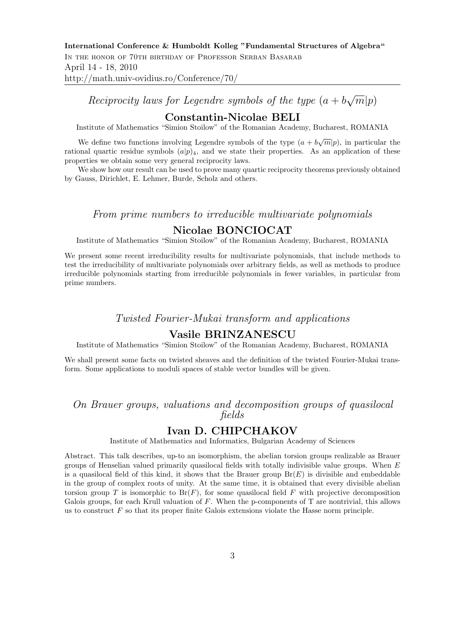Reciprocity laws for Legendre symbols of the type  $(a + b\sqrt{m}|p)$ 

### Constantin-Nicolae BELI

Institute of Mathematics "Simion Stoilow" of the Romanian Academy, Bucharest, ROMANIA

We define two functions involving Legendre symbols of the type  $(a + b\sqrt{m}|p)$ , in particular the rational quartic residue symbols  $(a|p)_4$ , and we state their properties. As an application of these properties we obtain some very general reciprocity laws.

We show how our result can be used to prove many quartic reciprocity theorems previously obtained by Gauss, Dirichlet, E. Lehmer, Burde, Scholz and others.

#### From prime numbers to irreducible multivariate polynomials

#### Nicolae BONCIOCAT

Institute of Mathematics "Simion Stoilow" of the Romanian Academy, Bucharest, ROMANIA

We present some recent irreducibility results for multivariate polynomials, that include methods to test the irreducibility of multivariate polynomials over arbitrary fields, as well as methods to produce irreducible polynomials starting from irreducible polynomials in fewer variables, in particular from prime numbers.

#### Twisted Fourier-Mukai transform and applications

#### Vasile BRINZANESCU

Institute of Mathematics "Simion Stoilow" of the Romanian Academy, Bucharest, ROMANIA

We shall present some facts on twisted sheaves and the definition of the twisted Fourier-Mukai transform. Some applications to moduli spaces of stable vector bundles will be given.

# On Brauer groups, valuations and decomposition groups of quasilocal fields

# Ivan D. CHIPCHAKOV

Institute of Mathematics and Informatics, Bulgarian Academy of Sciences

Abstract. This talk describes, up-to an isomorphism, the abelian torsion groups realizable as Brauer groups of Henselian valued primarily quasilocal fields with totally indivisible value groups. When  $E$ is a quasilocal field of this kind, it shows that the Brauer group  $Br(E)$  is divisible and embeddable in the group of complex roots of unity. At the same time, it is obtained that every divisible abelian torsion group T is isomorphic to  $Br(F)$ , for some quasilocal field F with projective decomposition Galois groups, for each Krull valuation of  $F$ . When the p-components of  $T$  are nontrivial, this allows us to construct  $F$  so that its proper finite Galois extensions violate the Hasse norm principle.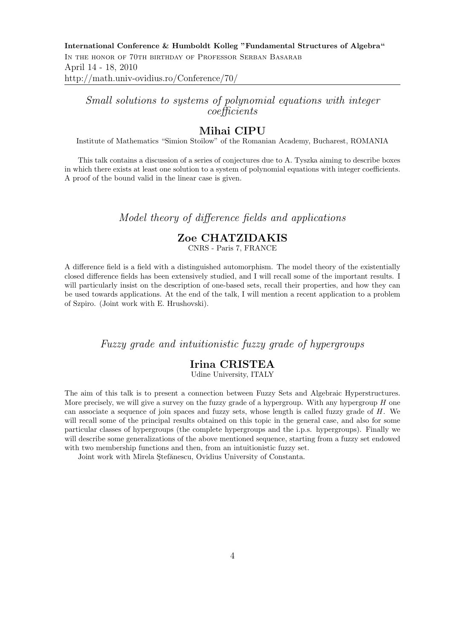Small solutions to systems of polynomial equations with integer coefficients

# Mihai CIPU

Institute of Mathematics "Simion Stoilow" of the Romanian Academy, Bucharest, ROMANIA

This talk contains a discussion of a series of conjectures due to A. Tyszka aiming to describe boxes in which there exists at least one solution to a system of polynomial equations with integer coefficients. A proof of the bound valid in the linear case is given.

## Model theory of difference fields and applications

# Zoe CHATZIDAKIS

CNRS - Paris 7, FRANCE

A difference field is a field with a distinguished automorphism. The model theory of the existentially closed difference fields has been extensively studied, and I will recall some of the important results. I will particularly insist on the description of one-based sets, recall their properties, and how they can be used towards applications. At the end of the talk, I will mention a recent application to a problem of Szpiro. (Joint work with E. Hrushovski).

#### Fuzzy grade and intuitionistic fuzzy grade of hypergroups

## Irina CRISTEA

Udine University, ITALY

The aim of this talk is to present a connection between Fuzzy Sets and Algebraic Hyperstructures. More precisely, we will give a survey on the fuzzy grade of a hypergroup. With any hypergroup  $H$  one can associate a sequence of join spaces and fuzzy sets, whose length is called fuzzy grade of  $H$ . We will recall some of the principal results obtained on this topic in the general case, and also for some particular classes of hypergroups (the complete hypergroups and the i.p.s. hypergroups). Finally we will describe some generalizations of the above mentioned sequence, starting from a fuzzy set endowed with two membership functions and then, from an intuitionistic fuzzy set.

Joint work with Mirela Stefănescu, Ovidius University of Constanta.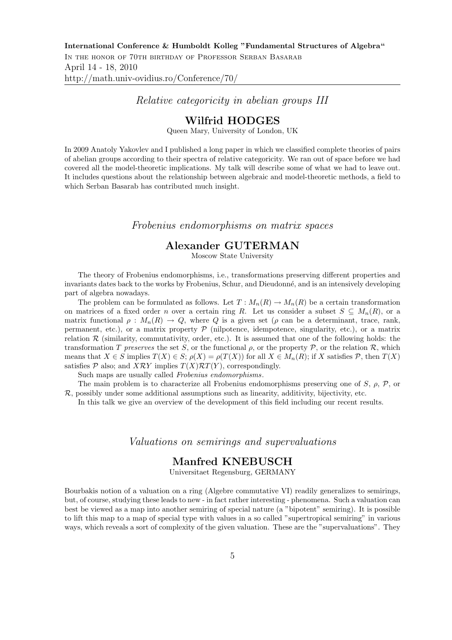#### Relative categoricity in abelian groups III

#### Wilfrid HODGES

Queen Mary, University of London, UK

In 2009 Anatoly Yakovlev and I published a long paper in which we classified complete theories of pairs of abelian groups according to their spectra of relative categoricity. We ran out of space before we had covered all the model-theoretic implications. My talk will describe some of what we had to leave out. It includes questions about the relationship between algebraic and model-theoretic methods, a field to which Serban Basarab has contributed much insight.

#### Frobenius endomorphisms on matrix spaces

## Alexander GUTERMAN

Moscow State University

The theory of Frobenius endomorphisms, i.e., transformations preserving different properties and invariants dates back to the works by Frobenius, Schur, and Dieudonn´e, and is an intensively developing part of algebra nowadays.

The problem can be formulated as follows. Let  $T : M_n(R) \to M_n(R)$  be a certain transformation on matrices of a fixed order n over a certain ring R. Let us consider a subset  $S \subseteq M_n(R)$ , or a matrix functional  $\rho : M_n(R) \to Q$ , where Q is a given set ( $\rho$  can be a determinant, trace, rank, permanent, etc.), or a matrix property  $\mathcal P$  (nilpotence, idempotence, singularity, etc.), or a matrix relation  $R$  (similarity, commutativity, order, etc.). It is assumed that one of the following holds: the transformation T preserves the set S, or the functional  $\rho$ , or the property P, or the relation R, which means that  $X \in S$  implies  $T(X) \in S$ ;  $\rho(X) = \rho(T(X))$  for all  $X \in M_n(R)$ ; if X satisfies  $P$ , then  $T(X)$ satisfies  $P$  also; and  $X \mathcal{R} Y$  implies  $T(X) \mathcal{R} T(Y)$ , correspondingly.

Such maps are usually called Frobenius endomorphisms.

The main problem is to characterize all Frobenius endomorphisms preserving one of S,  $\rho$ , P, or  $\mathcal{R}$ , possibly under some additional assumptions such as linearity, additivity, bijectivity, etc.

In this talk we give an overview of the development of this field including our recent results.

#### Valuations on semirings and supervaluations

### Manfred KNEBUSCH

Universitaet Regensburg, GERMANY

Bourbakis notion of a valuation on a ring (Algebre commutative VI) readily generalizes to semirings, but, of course, studying these leads to new - in fact rather interesting - phenomena. Such a valuation can best be viewed as a map into another semiring of special nature (a "bipotent" semiring). It is possible to lift this map to a map of special type with values in a so called "supertropical semiring" in various ways, which reveals a sort of complexity of the given valuation. These are the "supervaluations". They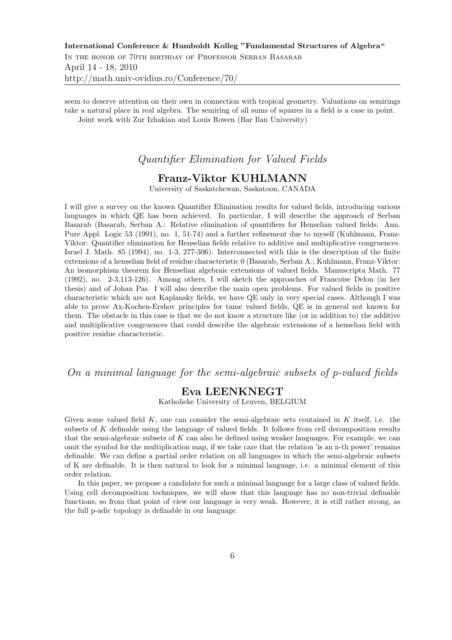seem to deserve attention on their own in connection with tropical geometry. Valuations on semirings take a natural place in real algebra. The semiring of all sums of squares in a field is a case in point. Joint work with Zur Izhakian and Louis Rowen (Bar Ilan University)

#### Quantifier Elimination for Valued Fields

## Franz-Viktor KUHLMANN

University of Saskatchewan, Saskatoon, CANADA

I will give a survey on the known Quantifier Elimination results for valued fields, introducing various languages in which QE has been achieved. In particular, I will describe the approach of Serban Basarab (Basarab, Serban A.: Relative elimination of quantifiers for Henselian valued fields. Ann. Pure Appl. Logic 53 (1991), no. 1, 51-74) and a further refinement due to myself (Kuhlmann, Franz-Viktor: Quantifier elimination for Henselian fields relative to additive and multiplicative congruences. Israel J. Math. 85 (1994), no. 1-3, 277-306). Interconnected with this is the description of the finite extensions of a henselian field of residue characteristic 0 (Basarab, Serban A.; Kuhlmann, Franz-Viktor: An isomorphism theorem for Henselian algebraic extensions of valued fields. Manuscripta Math. 77 (1992), no. 2-3,113-126). Among others, I will sketch the approaches of Francoise Delon (in her thesis) and of Johan Pas. I will also describe the main open problems. For valued fields in positive characteristic which are not Kaplansky fields, we have QE only in very special cases. Although I was able to prove Ax-Kochen-Ershov principles for tame valued fields, QE is in general not known for them. The obstacle in this case is that we do not know a structure like (or in addition to) the additive and multiplicative congruences that could describe the algebraic extensions of a henselian field with positive residue characteristic.

On a minimal language for the semi-algebraic subsets of p-valued fields

## Eva LEENKNEGT

Katholieke University of Leuven, BELGIUM

Given some valued field  $K$ , one can consider the semi-algebraic sets contained in  $K$  itself, i.e. the subsets of K definable using the language of valued fields. It follows from cell decomposition results that the semi-algebraic subsets of  $K$  can also be defined using weaker languages. For example, we can omit the symbol for the multiplication map, if we take care that the relation 'is an n-th power' remains definable. We can define a partial order relation on all languages in which the semi-algebraic subsets of K are definable. It is then natural to look for a minimal language, i.e. a minimal element of this order relation.

In this paper, we propose a candidate for such a minimal language for a large class of valued fields. Using cell decomposition techniques, we will show that this language has no non-trivial definable functions, so from that point of view our language is very weak. However, it is still rather strong, as the full p-adic topology is definable in our language.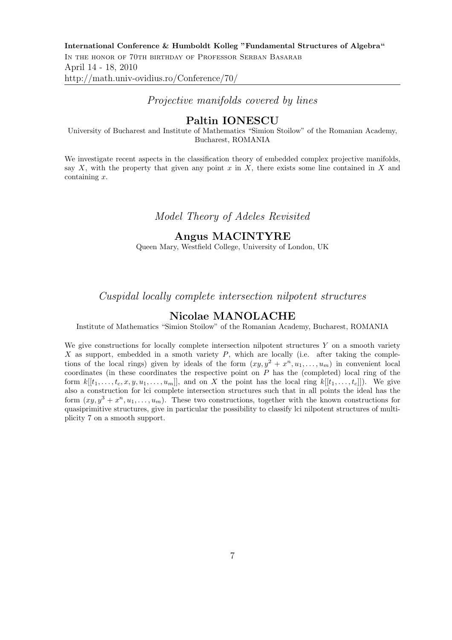#### Projective manifolds covered by lines

## Paltin IONESCU

University of Bucharest and Institute of Mathematics "Simion Stoilow" of the Romanian Academy, Bucharest, ROMANIA

We investigate recent aspects in the classification theory of embedded complex projective manifolds, say  $X$ , with the property that given any point  $x$  in  $X$ , there exists some line contained in  $X$  and containing x.

Model Theory of Adeles Revisited

#### Angus MACINTYRE

Queen Mary, Westfield College, University of London, UK

Cuspidal locally complete intersection nilpotent structures

#### Nicolae MANOLACHE

Institute of Mathematics "Simion Stoilow" of the Romanian Academy, Bucharest, ROMANIA

We give constructions for locally complete intersection nilpotent structures  $Y$  on a smooth variety X as support, embedded in a smoth variety  $P$ , which are locally (i.e. after taking the completions of the local rings) given by ideals of the form  $(xy, y^2 + x^n, u_1, \ldots, u_m)$  in convenient local coordinates (in these coordinates the respective point on  $P$  has the (completed) local ring of the form  $k[[t_1,\ldots,t_c,x,y,u_1,\ldots,u_m]]$ , and on X the point has the local ring  $k[[t_1,\ldots,t_c]]$ ). We give also a construction for lci complete intersection structures such that in all points the ideal has the form  $(xy, y^3 + x^n, u_1, \ldots, u_m)$ . These two constructions, together with the known constructions for quasiprimitive structures, give in particular the possibility to classify lci nilpotent structures of multiplicity 7 on a smooth support.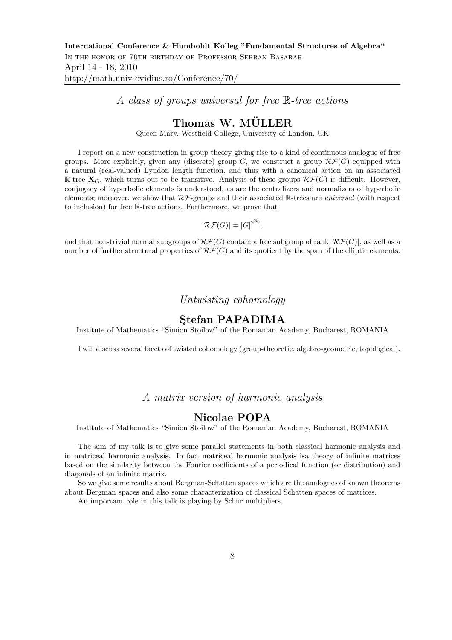A class of groups universal for free R-tree actions

# Thomas W. MÜLLER

Queen Mary, Westfield College, University of London, UK

I report on a new construction in group theory giving rise to a kind of continuous analogue of free groups. More explicitly, given any (discrete) group  $G$ , we construct a group  $\mathcal{RF}(G)$  equipped with a natural (real-valued) Lyndon length function, and thus with a canonical action on an associated R-tree  $X_G$ , which turns out to be transitive. Analysis of these groups  $\mathcal{RF}(G)$  is difficult. However, conjugacy of hyperbolic elements is understood, as are the centralizers and normalizers of hyperbolic elements; moreover, we show that  $\mathcal{RF}$ -groups and their associated R-trees are universal (with respect to inclusion) for free R-tree actions. Furthermore, we prove that

$$
|\mathcal{RF}(G)| = |G|^{2^{\aleph_0}},
$$

and that non-trivial normal subgroups of  $\mathcal{RF}(G)$  contain a free subgroup of rank  $|\mathcal{RF}(G)|$ , as well as a number of further structural properties of  $\mathcal{RF}(G)$  and its quotient by the span of the elliptic elements.

## Untwisting cohomology

#### Stefan PAPADIMA

Institute of Mathematics "Simion Stoilow" of the Romanian Academy, Bucharest, ROMANIA

I will discuss several facets of twisted cohomology (group-theoretic, algebro-geometric, topological).

## A matrix version of harmonic analysis

#### Nicolae POPA

Institute of Mathematics "Simion Stoilow" of the Romanian Academy, Bucharest, ROMANIA

The aim of my talk is to give some parallel statements in both classical harmonic analysis and in matriceal harmonic analysis. In fact matriceal harmonic analysis isa theory of infinite matrices based on the similarity between the Fourier coefficients of a periodical function (or distribution) and diagonals of an infinite matrix.

So we give some results about Bergman-Schatten spaces which are the analogues of known theorems about Bergman spaces and also some characterization of classical Schatten spaces of matrices.

An important role in this talk is playing by Schur multipliers.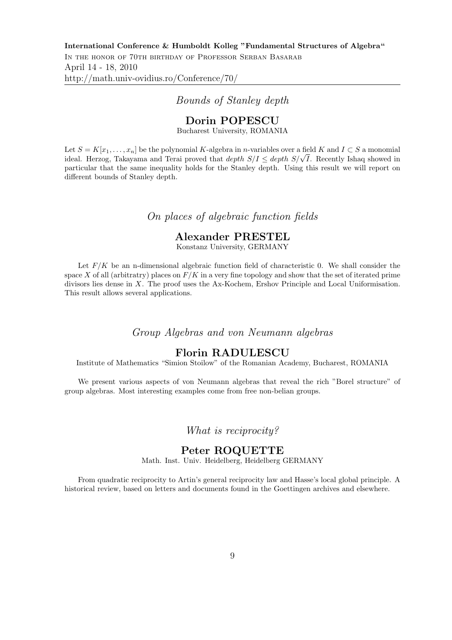#### Bounds of Stanley depth

#### Dorin POPESCU

Bucharest University, ROMANIA

Let  $S = K[x_1, \ldots, x_n]$  be the polynomial K-algebra in n-variables over a field K and  $I \subset S$  a monomial ideal. Herzog, Takayama and Terai proved that depth  $S/I \leq$  depth  $S/\sqrt{I}$ . Recently Ishaq showed in particular that the same inequality holds for the Stanley depth. Using this result we will report on different bounds of Stanley depth.

## On places of algebraic function fields

## Alexander PRESTEL

Konstanz University, GERMANY

Let  $F/K$  be an n-dimensional algebraic function field of characteristic 0. We shall consider the space X of all (arbitratry) places on  $F/K$  in a very fine topology and show that the set of iterated prime divisors lies dense in X. The proof uses the Ax-Kochem, Ershov Principle and Local Uniformisation. This result allows several applications.

Group Algebras and von Neumann algebras

## Florin RADULESCU

Institute of Mathematics "Simion Stoilow" of the Romanian Academy, Bucharest, ROMANIA

We present various aspects of von Neumann algebras that reveal the rich "Borel structure" of group algebras. Most interesting examples come from free non-belian groups.

What is reciprocity?

#### Peter ROQUETTE

Math. Inst. Univ. Heidelberg, Heidelberg GERMANY

From quadratic reciprocity to Artin's general reciprocity law and Hasse's local global principle. A historical review, based on letters and documents found in the Goettingen archives and elsewhere.